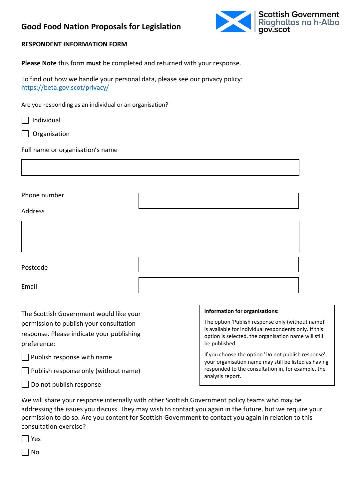### **Good Food Nation Proposals for Legislation**



### **RESPONDENT INFORMATION FORM**

**Please Note** this form **must** be completed and returned with your response.

To find out how we handle your personal data, please see our privacy policy: <https://beta.gov.scot/privacy/>

Are you responding as an individual or an organisation?

| Individual |
|------------|
|            |

Organisation

Full name or organisation's name

Phone number

Address

| Postcode |  |
|----------|--|
| Email    |  |

The Scottish Government would like your permission to publish your consultation response. Please indicate your publishing preference:

 $\Box$  Publish response with name

 $\Box$  Publish response only (without name)

 $\Box$  Do not publish response

#### **Information for organisations:**

The option 'Publish response only (without name)' is available for individual respondents only. If this option is selected, the organisation name will still be published.

If you choose the option 'Do not publish response', your organisation name may still be listed as having responded to the consultation in, for example, the analysis report.

We will share your response internally with other Scottish Government policy teams who may be addressing the issues you discuss. They may wish to contact you again in the future, but we require your permission to do so. Are you content for Scottish Government to contact you again in relation to this consultation exercise?

 $\Box$  Yes

 $\Box$  No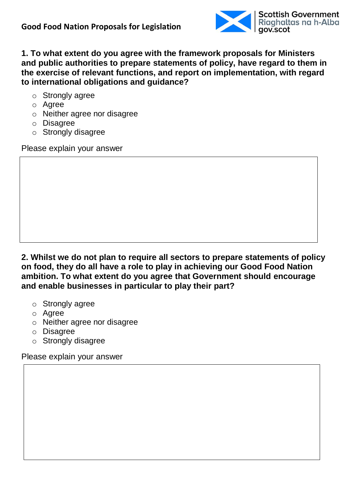

**1. To what extent do you agree with the framework proposals for Ministers and public authorities to prepare statements of policy, have regard to them in the exercise of relevant functions, and report on implementation, with regard to international obligations and guidance?**

- o Strongly agree
- o Agree
- o Neither agree nor disagree
- o Disagree
- o Strongly disagree

Please explain your answer

**2. Whilst we do not plan to require all sectors to prepare statements of policy on food, they do all have a role to play in achieving our Good Food Nation ambition. To what extent do you agree that Government should encourage and enable businesses in particular to play their part?**

- o Strongly agree
- o Agree
- o Neither agree nor disagree
- o Disagree
- o Strongly disagree

Please explain your answer